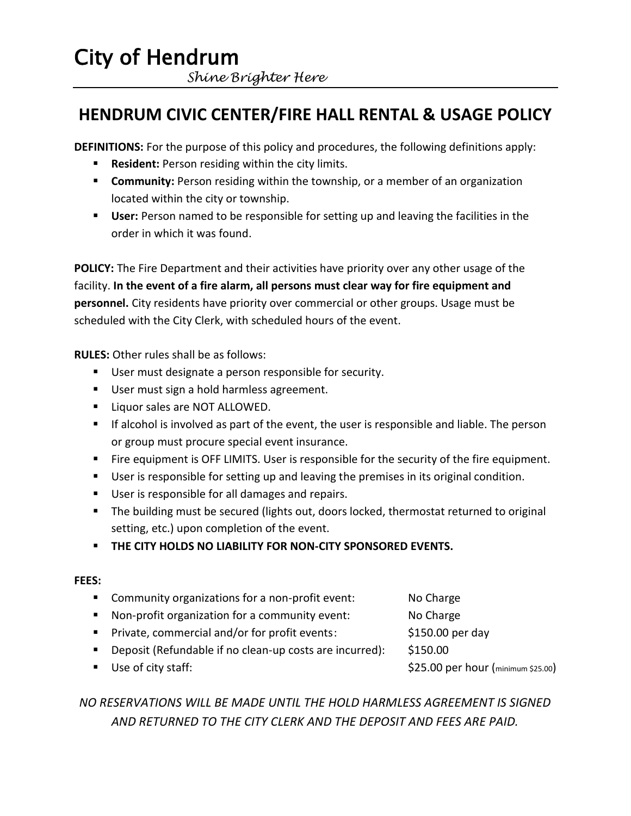## City of Hendrum  *Shine Brighter Here*

### **HENDRUM CIVIC CENTER/FIRE HALL RENTAL & USAGE POLICY**

**DEFINITIONS:** For the purpose of this policy and procedures, the following definitions apply:

- **Resident:** Person residing within the city limits.
- **Community:** Person residing within the township, or a member of an organization located within the city or township.
- **User:** Person named to be responsible for setting up and leaving the facilities in the order in which it was found.

**POLICY:** The Fire Department and their activities have priority over any other usage of the facility. **In the event of a fire alarm, all persons must clear way for fire equipment and personnel.** City residents have priority over commercial or other groups. Usage must be scheduled with the City Clerk, with scheduled hours of the event.

**RULES:** Other rules shall be as follows:

- User must designate a person responsible for security.
- User must sign a hold harmless agreement.
- **Liquor sales are NOT ALLOWED.**
- **If alcohol is involved as part of the event, the user is responsible and liable. The person** or group must procure special event insurance.
- **Fire equipment is OFF LIMITS. User is responsible for the security of the fire equipment.**
- User is responsible for setting up and leaving the premises in its original condition.
- User is responsible for all damages and repairs.
- The building must be secured (lights out, doors locked, thermostat returned to original setting, etc.) upon completion of the event.
- **THE CITY HOLDS NO LIABILITY FOR NON-CITY SPONSORED EVENTS.**

#### **FEES:**

- **EXECOMMUNITY OF A LOCAL EXAM** Community organizations for a non-profit event: No Charge
- **Non-profit organization for a community event:** No Charge
- Private, commercial and/or for profit events: \$150.00 per day
- Deposit (Refundable if no clean-up costs are incurred): \$150.00
- Use of city staff:  $$25.00$  per hour (minimum \$25.00)
- *NO RESERVATIONS WILL BE MADE UNTIL THE HOLD HARMLESS AGREEMENT IS SIGNED*

*AND RETURNED TO THE CITY CLERK AND THE DEPOSIT AND FEES ARE PAID.*

- -
	-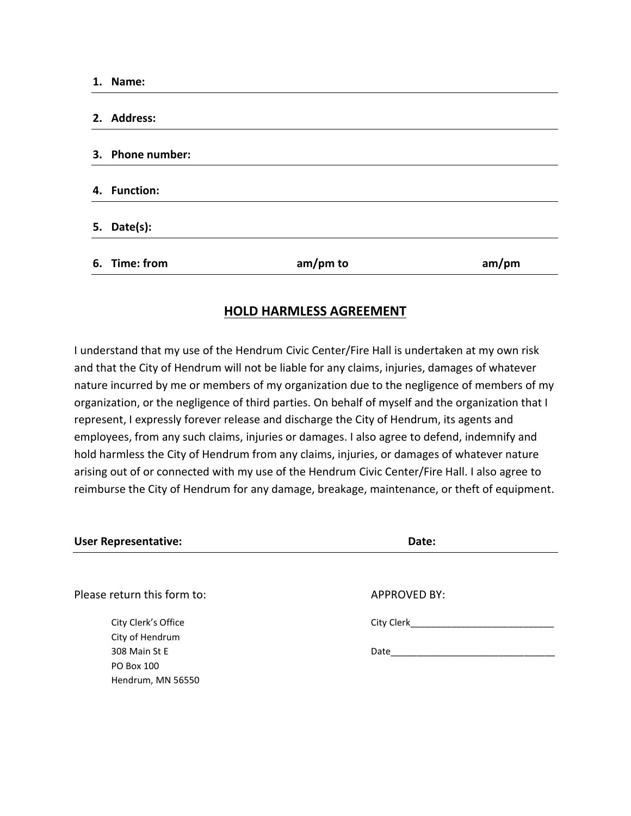| 1. Name:         |          |       |
|------------------|----------|-------|
|                  |          |       |
| 2. Address:      |          |       |
|                  |          |       |
| 3. Phone number: |          |       |
|                  |          |       |
| 4. Function:     |          |       |
|                  |          |       |
| 5. Date $(s)$ :  |          |       |
|                  |          |       |
| 6. Time: from    | am/pm to | am/pm |

#### **HOLD HARMLESS AGREEMENT**

I understand that my use of the Hendrum Civic Center/Fire Hall is undertaken at my own risk and that the City of Hendrum will not be liable for any claims, injuries, damages of whatever nature incurred by me or members of my organization due to the negligence of members of my organization, or the negligence of third parties. On behalf of myself and the organization that I represent, I expressly forever release and discharge the City of Hendrum, its agents and employees, from any such claims, injuries or damages. I also agree to defend, indemnify and hold harmless the City of Hendrum from any claims, injuries, or damages of whatever nature arising out of or connected with my use of the Hendrum Civic Center/Fire Hall. I also agree to reimburse the City of Hendrum for any damage, breakage, maintenance, or theft of equipment.

| <b>User Representative:</b>            | Date:               |  |
|----------------------------------------|---------------------|--|
|                                        |                     |  |
| Please return this form to:            | <b>APPROVED BY:</b> |  |
| City Clerk's Office<br>City of Hendrum | City Clerk          |  |
| 308 Main St E<br>PO Box 100            | Date                |  |
| Hendrum, MN 56550                      |                     |  |